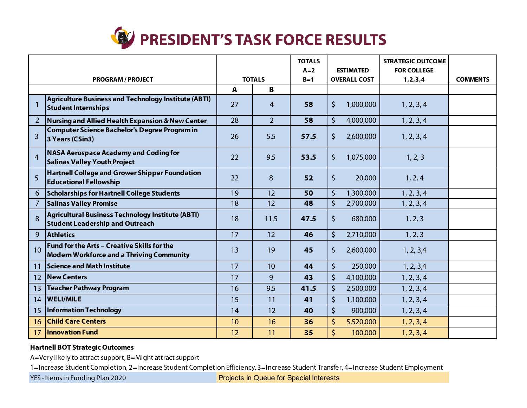

|                          |                                                                                                    |               |                | <b>TOTALS</b><br>$A=2$ | <b>ESTIMATED</b>     | <b>STRATEGIC OUTCOME</b><br><b>FOR COLLEGE</b> |                 |
|--------------------------|----------------------------------------------------------------------------------------------------|---------------|----------------|------------------------|----------------------|------------------------------------------------|-----------------|
| <b>PROGRAM / PROJECT</b> |                                                                                                    | <b>TOTALS</b> |                | $B=1$                  | <b>OVERALL COST</b>  | 1, 2, 3, 4                                     | <b>COMMENTS</b> |
|                          |                                                                                                    | $\mathbf{A}$  | B              |                        |                      |                                                |                 |
|                          | <b>Agriculture Business and Technology Institute (ABTI)</b><br><b>Student Internships</b>          | 27            | $\overline{4}$ | 58                     | \$<br>1,000,000      | 1, 2, 3, 4                                     |                 |
| $\overline{2}$           | <b>Nursing and Allied Health Expansion &amp; New Center</b>                                        | 28            | $\overline{2}$ | 58                     | $\zeta$<br>4,000,000 | 1, 2, 3, 4                                     |                 |
| 3                        | <b>Computer Science Bachelor's Degree Program in</b><br>3 Years (CSin3)                            | 26            | 5.5            | 57.5                   | \$<br>2,600,000      | 1, 2, 3, 4                                     |                 |
| $\overline{4}$           | <b>NASA Aerospace Academy and Coding for</b><br><b>Salinas Valley Youth Project</b>                | 22            | 9.5            | 53.5                   | $\zeta$<br>1,075,000 | 1, 2, 3                                        |                 |
| 5                        | <b>Hartnell College and Grower Shipper Foundation</b><br><b>Educational Fellowship</b>             | 22            | 8              | 52                     | $\zeta$<br>20,000    | 1, 2, 4                                        |                 |
| 6                        | <b>Scholarships for Hartnell College Students</b>                                                  | 19            | 12             | 50                     | $\zeta$<br>1,300,000 | 1, 2, 3, 4                                     |                 |
| 7                        | <b>Salinas Valley Promise</b>                                                                      | 18            | 12             | 48                     | $\zeta$<br>2,700,000 | 1, 2, 3, 4                                     |                 |
| 8                        | <b>Agricultural Business Technology Institute (ABTI)</b><br><b>Student Leadership and Outreach</b> | 18            | 11.5           | 47.5                   | \$<br>680,000        | 1, 2, 3                                        |                 |
| 9                        | <b>Athletics</b>                                                                                   | 17            | 12             | 46                     | $\zeta$<br>2,710,000 | 1, 2, 3                                        |                 |
| 10                       | Fund for the Arts - Creative Skills for the<br><b>Modern Workforce and a Thriving Community</b>    | 13            | 19             | 45                     | \$<br>2,600,000      | 1, 2, 3,4                                      |                 |
| 11                       | <b>Science and Math Institute</b>                                                                  | 17            | 10             | 44                     | \$<br>250,000        | 1, 2, 3,4                                      |                 |
| 12                       | <b>New Centers</b>                                                                                 | 17            | 9              | 43                     | \$<br>4,100,000      | 1, 2, 3, 4                                     |                 |
| 13                       | <b>Teacher Pathway Program</b>                                                                     | 16            | 9.5            | 41.5                   | $\zeta$<br>2,500,000 | 1, 2, 3, 4                                     |                 |
| 14                       | <b>WELI/MILE</b>                                                                                   | 15            | 11             | 41                     | $\zeta$<br>1,100,000 | 1, 2, 3, 4                                     |                 |
| 15                       | <b>Information Technology</b>                                                                      | 14            | 12             | 40                     | $\zeta$<br>900,000   | 1, 2, 3, 4                                     |                 |
| 16                       | <b>Child Care Centers</b>                                                                          | 10            | 16             | 36                     | \$<br>5,520,000      | 1, 2, 3, 4                                     |                 |
| 17                       | <b>Innovation Fund</b>                                                                             | 12            | 11             | 35                     | $\zeta$<br>100,000   | 1, 2, 3, 4                                     |                 |

## **Hartnell BOT Strategic Outcomes**

A=Very likely to attract support, B=Might attract support

1=Increase Student Completion, 2=Increase Student Completion Efficiency, 3=Increase Student Transfer, 4=Increase Student Employment

YES - Items in Funding Plan 2020

n Queue for Special Interests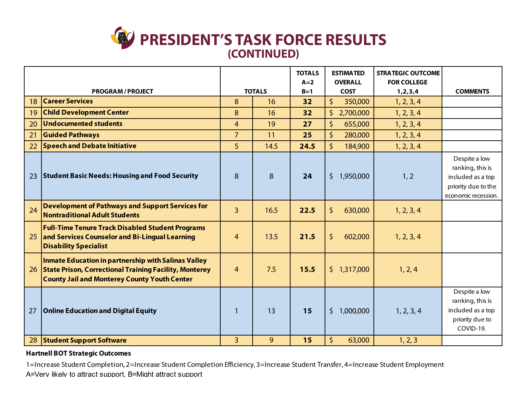## **PRESIDENT'S TASK FORCE RESULTS(CONTINUED)PRESIDENT'S TASK FORCE RESULTS**

|                        |                                                                                                                                                                                    |                |      |                | <b>ESTIMATED</b><br><b>OVERALL</b> | <b>STRATEGIC OUTCOME</b><br><b>FOR COLLEGE</b> |                                                                                                      |
|------------------------|------------------------------------------------------------------------------------------------------------------------------------------------------------------------------------|----------------|------|----------------|------------------------------------|------------------------------------------------|------------------------------------------------------------------------------------------------------|
| <b>PROGRAM/PROJECT</b> |                                                                                                                                                                                    | <b>TOTALS</b>  |      | $A=2$<br>$B=1$ | <b>COST</b>                        | 1, 2, 3, 4                                     | <b>COMMENTS</b>                                                                                      |
| 18                     | <b>Career Services</b>                                                                                                                                                             | 8              | 16   |                | 350,000<br>\$.                     | 1, 2, 3, 4                                     |                                                                                                      |
| 19                     | <b>Child Development Center</b>                                                                                                                                                    | 8              | 16   | 32             | \$2,700,000                        | 1, 2, 3, 4                                     |                                                                                                      |
| 20                     | <b>Undocumented students</b>                                                                                                                                                       | $\overline{4}$ | 19   | 27             | 655,000<br>\$                      | 1, 2, 3, 4                                     |                                                                                                      |
| 21                     | <b>Guided Pathways</b>                                                                                                                                                             | $\overline{7}$ | 11   | 25             | \$<br>280,000                      | 1, 2, 3, 4                                     |                                                                                                      |
| 22                     | <b>Speech and Debate Initiative</b>                                                                                                                                                | 5              | 14.5 | 24.5           | $\zeta$<br>184,900                 | 1, 2, 3, 4                                     |                                                                                                      |
| 23                     | <b>Student Basic Needs: Housing and Food Security</b>                                                                                                                              | 8              | 8    | 24             | \$1,950,000                        | 1, 2                                           | Despite a low<br>ranking, this is<br>included as a top<br>priority due to the<br>economic recession. |
| 24                     | <b>Development of Pathways and Support Services for</b><br><b>Nontraditional Adult Students</b>                                                                                    | $\overline{3}$ | 16.5 | 22.5           | \$<br>630,000                      | 1, 2, 3, 4                                     |                                                                                                      |
| 25                     | <b>Full-Time Tenure Track Disabled Student Programs</b><br>and Services Counselor and Bi-Lingual Learning<br><b>Disability Specialist</b>                                          | $\overline{4}$ | 13.5 | 21.5           | \$<br>602,000                      | 1, 2, 3, 4                                     |                                                                                                      |
| 26                     | <b>Inmate Education in partnership with Salinas Valley</b><br><b>State Prison, Correctional Training Facility, Monterey</b><br><b>County Jail and Monterey County Youth Center</b> | $\overline{4}$ | 7.5  | 15.5           | \$1,317,000                        | 1, 2, 4                                        |                                                                                                      |
| 27                     | <b>Online Education and Digital Equity</b>                                                                                                                                         | $\mathbf{1}$   | 13   | 15             | \$1,000,000                        | 1, 2, 3, 4                                     | Despite a low<br>ranking, this is<br>included as a top<br>priority due to<br>COVID-19.               |
| 28                     | <b>Student Support Software</b>                                                                                                                                                    | $\overline{3}$ | 9    | 15             | $\zeta$<br>63,000                  | 1, 2, 3                                        |                                                                                                      |

## **Hartnell BOT Strategic Outcomes**

1=Increase Student Completion, 2=Increase Student Completion Efficiency, 3=Increase Student Transfer, 4=Increase Student Employment A=Verv likelv to attract support. B=Might attract support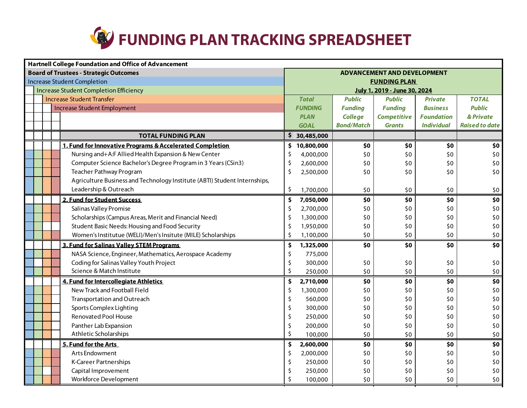

| <b>Hartnell College Foundation and Office of Advancement</b> |                                                                           |                                    |                              |                   |                    |                   |                       |  |  |
|--------------------------------------------------------------|---------------------------------------------------------------------------|------------------------------------|------------------------------|-------------------|--------------------|-------------------|-----------------------|--|--|
|                                                              | <b>Board of Trustees - Strategic Outcomes</b>                             | <b>ADVANCEMENT AND DEVELOPMENT</b> |                              |                   |                    |                   |                       |  |  |
|                                                              | <b>Increase Student Completion</b>                                        | <b>FUNDING PLAN</b>                |                              |                   |                    |                   |                       |  |  |
| <b>Increase Student Completion Efficiency</b>                |                                                                           |                                    | July 1, 2019 - June 30, 2024 |                   |                    |                   |                       |  |  |
|                                                              | <b>Increase Student Transfer</b>                                          |                                    |                              | <b>Public</b>     | <b>Public</b>      | <b>Private</b>    | <b>TOTAL</b>          |  |  |
|                                                              | <b>Increase Student Employment</b>                                        |                                    | <b>FUNDING</b>               | <b>Funding</b>    | <b>Funding</b>     | <b>Business</b>   | <b>Public</b>         |  |  |
|                                                              |                                                                           |                                    | <b>PLAN</b>                  | <b>College</b>    | <b>Competitive</b> | <b>Foundation</b> | & Private             |  |  |
|                                                              |                                                                           |                                    | <b>GOAL</b>                  | <b>Bond/Match</b> | <b>Grants</b>      | <b>Individual</b> | <b>Raised to date</b> |  |  |
|                                                              | <b>TOTAL FUNDING PLAN</b>                                                 |                                    | \$30,485,000                 |                   |                    |                   |                       |  |  |
|                                                              | 1. Fund for Innovative Programs & Accelerated Completion                  | \$.                                | 10,800,000                   | \$0               | \$0                | \$0               | \$0                   |  |  |
|                                                              | Nursing and+A:F Allied Health Expansion & New Center                      | \$                                 | 4,000,000                    | \$0               | \$0                | \$0               | \$0                   |  |  |
|                                                              | Computer Science Bachelor's Degree Program in 3 Years (CSin3)             | \$                                 | 2,600,000                    | \$0               | \$0                | \$0               | \$0                   |  |  |
|                                                              | Teacher Pathway Program                                                   | Ś                                  | 2,500,000                    | \$0               | \$0                | \$0               | \$0                   |  |  |
|                                                              | Agriculture Business and Technology Institute (ABTI) Student Internships, |                                    |                              |                   |                    |                   |                       |  |  |
|                                                              | Leadership & Outreach                                                     | \$                                 | 1,700,000                    | \$0               | \$0                | \$0               | \$0                   |  |  |
|                                                              | 2. Fund for Student Success                                               | \$                                 | 7,050,000                    | \$0               | \$0                | \$0               | \$0                   |  |  |
|                                                              | Salinas Valley Promise                                                    | \$                                 | 2,700,000                    | \$0               | \$0                | \$0               | \$0                   |  |  |
|                                                              | Scholarships (Campus Areas, Merit and Financial Need)                     | \$                                 | 1,300,000                    | \$0               | \$0                | \$0               | \$0                   |  |  |
|                                                              | Student Basic Needs: Housing and Food Security                            | \$                                 | 1,950,000                    | \$0               | \$0                | \$0               | \$0                   |  |  |
|                                                              | Women's Institutue (WELI)/Men's Insitute (MILE) Scholarships              | \$                                 | 1,100,000                    | \$0               | \$0                | \$0               | $$0$$                 |  |  |
|                                                              | 3. Fund for Salinas Valley STEM Programs                                  | \$                                 | 1,325,000                    | \$0               | \$0                | \$0               | \$0                   |  |  |
|                                                              | NASA Science, Engineer, Mathematics, Aerospace Academy                    | Ś                                  | 775,000                      |                   |                    |                   |                       |  |  |
|                                                              | Coding for Salinas Valley Youth Project                                   | Ś                                  | 300,000                      | \$0               | \$0                | \$0               | \$0                   |  |  |
|                                                              | Science & Match Institute                                                 | Ś                                  | 250,000                      | \$0               | \$0                | \$0               | $$0$$                 |  |  |
|                                                              | 4. Fund for Intercollegiate Athletics                                     | \$                                 | 2,710,000                    | \$0               | \$0                | \$0               | \$0                   |  |  |
|                                                              | New Track and Football Field                                              | \$                                 | 1,300,000                    | \$0               | \$0                | \$0               | \$0                   |  |  |
|                                                              | Transportation and Outreach                                               | \$                                 | 560,000                      | \$0               | \$0                | \$0               | \$0                   |  |  |
|                                                              | Sports Complex Lighting                                                   | \$                                 | 300,000                      | \$0               | \$0                | \$0               | \$0                   |  |  |
|                                                              | <b>Renovated Pool House</b>                                               | \$                                 | 250,000                      | \$0               | \$0                | \$0               | \$0                   |  |  |
|                                                              | Panther Lab Expansion                                                     | \$                                 | 200,000                      | \$0               | \$0                | \$0               | \$0                   |  |  |
|                                                              | Athletic Scholarships                                                     | Ś                                  | 100,000                      | \$0               | \$0                | \$0               | \$0                   |  |  |
|                                                              | 5. Fund for the Arts                                                      | \$                                 | 2,600,000                    | \$0               | \$0                | \$0               | \$0                   |  |  |
|                                                              | Arts Endowment                                                            | \$                                 | 2,000,000                    | \$0               | \$0                | \$0               | $$0$$                 |  |  |
|                                                              | <b>K-Career Partnerships</b>                                              | \$                                 | 250,000                      | \$0               | \$0                | \$0               | $$0$$                 |  |  |
|                                                              | Capital Improvement                                                       |                                    | 250,000                      | \$0               | \$0                | \$0               | \$0                   |  |  |
|                                                              | Workforce Development                                                     |                                    | 100,000                      | \$0               | \$0                | \$0               | \$0                   |  |  |